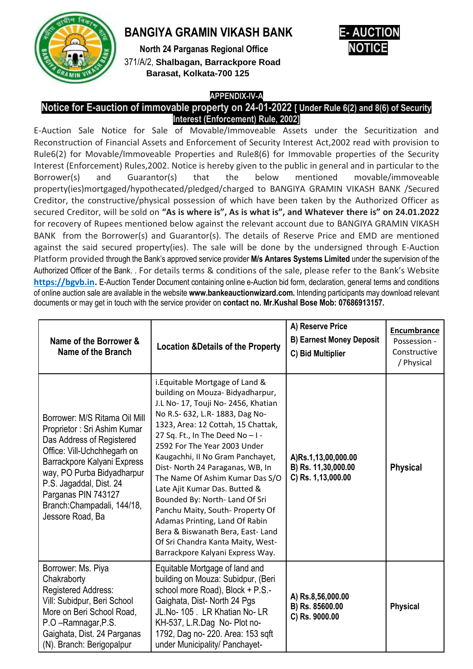

# **BANGIYA GRAMIN VIKASH BANK**

**North 24 Parganas Regional Office** 371/A/2, **Shalbagan, Barrackpore Road Barasat, Kolkata-700 125**



## **APPENDIX-IV-A**

#### **Notice for E-auction of immovable property on 24-01-2022 [ Under Rule 6(2) and 8(6) of Security Interest (Enforcement) Rule, 2002]**

E-Auction Sale Notice for Sale of Movable/Immoveable Assets under the Securitization and Reconstruction of Financial Assets and Enforcement of Security Interest Act,2002 read with provision to Rule6(2) for Movable/Immoveable Properties and Rule8(6) for Immovable properties of the Security Interest (Enforcement) Rules,2002. Notice is hereby given to the public in general and in particular to the Borrower(s) and Guarantor(s) that the below mentioned movable/immoveable property(ies)mortgaged/hypothecated/pledged/charged to BANGIYA GRAMIN VIKASH BANK /Secured Creditor, the constructive/physical possession of which have been taken by the Authorized Officer as secured Creditor, will be sold on **"As is where is", As is what is", and Whatever there is" on 24.01.2022**  for recovery of Rupees mentioned below against the relevant account due to BANGIYA GRAMIN VIKASH BANK from the Borrower(s) and Guarantor(s). The details of Reserve Price and EMD are mentioned against the said secured property(ies). The sale will be done by the undersigned through E-Auction Platform provided through the Bank's approved service provider **M/s Antares Systems Limited** under the supervision of the Authorized Officer of the Bank. . For details terms & conditions of the sale, please refer to the Bank's Website **[https://bgvb.in.](https://bgvb.in/)** E-Auction Tender Document containing online e-Auction bid form, declaration, general terms and conditions of online auction sale are available in the website **www.bankeauctionwizard.com.** Intending participants may download relevant documents or may get in touch with the service provider on **contact no. Mr.Kushal Bose Mob: 07686913157.**

| Name of the Borrower &<br>Name of the Branch                                                                                                                                                                                                                                               | <b>Location &amp;Details of the Property</b>                                                                                                                                                                                                                                                                                                                                                                                                                                                                                                                                                                          | A) Reserve Price<br><b>B) Earnest Money Deposit</b><br>C) Bid Multiplier | <b>Encumbrance</b><br>Possession -<br>Constructive<br>/ Physical |
|--------------------------------------------------------------------------------------------------------------------------------------------------------------------------------------------------------------------------------------------------------------------------------------------|-----------------------------------------------------------------------------------------------------------------------------------------------------------------------------------------------------------------------------------------------------------------------------------------------------------------------------------------------------------------------------------------------------------------------------------------------------------------------------------------------------------------------------------------------------------------------------------------------------------------------|--------------------------------------------------------------------------|------------------------------------------------------------------|
| Borrower: M/S Ritama Oil Mill<br>Proprietor: Sri Ashim Kumar<br>Das Address of Registered<br>Office: Vill-Uchchhegarh on<br>Barrackpore Kalyani Express<br>way, PO Purba Bidyadharpur<br>P.S. Jagaddal, Dist. 24<br>Parganas PIN 743127<br>Branch: Champadali, 144/18,<br>Jessore Road, Ba | i. Equitable Mortgage of Land &<br>building on Mouza- Bidyadharpur,<br>J.L No- 17, Touji No- 2456, Khatian<br>No R.S- 632, L.R- 1883, Dag No-<br>1323, Area: 12 Cottah, 15 Chattak,<br>27 Sq. Ft., In The Deed No-I-<br>2592 For The Year 2003 Under<br>Kaugachhi, II No Gram Panchayet,<br>Dist- North 24 Paraganas, WB, In<br>The Name Of Ashim Kumar Das S/O<br>Late Ajit Kumar Das. Butted &<br>Bounded By: North- Land Of Sri<br>Panchu Maity, South- Property Of<br>Adamas Printing, Land Of Rabin<br>Bera & Biswanath Bera, East-Land<br>Of Sri Chandra Kanta Maity, West-<br>Barrackpore Kalyani Express Way. | A)Rs.1,13,00,000.00<br>B) Rs. 11,30,000.00<br>C) Rs. 1,13,000.00         | <b>Physical</b>                                                  |
| Borrower: Ms. Piya<br>Chakraborty<br>Registered Address:<br>Vill: Subidpur, Beri School<br>More on Beri School Road,<br>P.O -Ramnagar, P.S.<br>Gaighata, Dist. 24 Parganas<br>(N). Branch: Berigopalpur                                                                                    | Equitable Mortgage of land and<br>building on Mouza: Subidpur, (Beri<br>school more Road), Block + P.S.-<br>Gaighata, Dist-North 24 Pgs<br>JL.No-105. LR Khatian No-LR<br>KH-537, L.R.Dag No- Plot no-<br>1792, Dag no- 220. Area: 153 sqft<br>under Municipality/ Panchayet-                                                                                                                                                                                                                                                                                                                                         | A) Rs.8,56,000.00<br>B) Rs. 85600.00<br>C) Rs. 9000.00                   | <b>Physical</b>                                                  |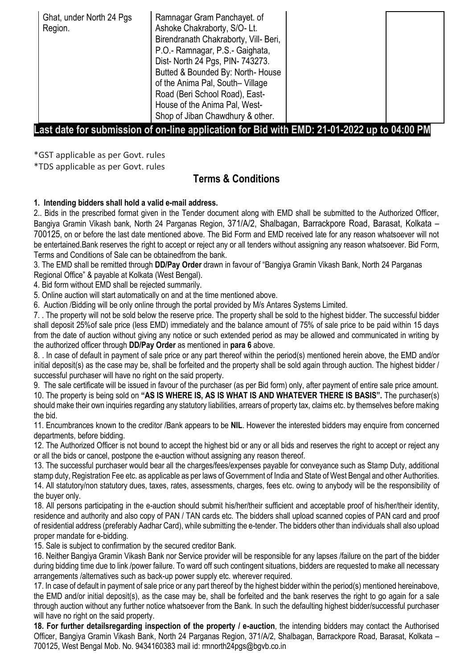| Ghat, under North 24 Pgs<br>Region. | Ramnagar Gram Panchayet. of<br>Ashoke Chakraborty, S/O-Lt.<br>Birendranath Chakraborty, Vill- Beri,<br>P.O.- Ramnagar, P.S.- Gaighata,<br>Dist- North 24 Pgs, PIN- 743273.<br>Butted & Bounded By: North-House<br>of the Anima Pal, South-Village<br>Road (Beri School Road), East-<br>House of the Anima Pal, West-<br>Shop of Jiban Chawdhury & other. |  |  |
|-------------------------------------|----------------------------------------------------------------------------------------------------------------------------------------------------------------------------------------------------------------------------------------------------------------------------------------------------------------------------------------------------------|--|--|
|-------------------------------------|----------------------------------------------------------------------------------------------------------------------------------------------------------------------------------------------------------------------------------------------------------------------------------------------------------------------------------------------------------|--|--|

### **Last date for submission of on-line application for Bid with EMD: 21-01-2022 up to 04:00 PM**

\*GST applicable as per Govt. rules

\*TDS applicable as per Govt. rules

# **Terms & Conditions**

#### **1. Intending bidders shall hold a valid e-mail address.**

2.. Bids in the prescribed format given in the Tender document along with EMD shall be submitted to the Authorized Officer, Bangiya Gramin Vikash bank, North 24 Parganas Region, 371/A/2, Shalbagan, Barrackpore Road, Barasat, Kolkata – 700125, on or before the last date mentioned above. The Bid Form and EMD received late for any reason whatsoever will not be entertained.Bank reserves the right to accept or reject any or all tenders without assigning any reason whatsoever. Bid Form, Terms and Conditions of Sale can be obtainedfrom the bank.

3. The EMD shall be remitted through **DD/Pay Order** drawn in favour of "Bangiya Gramin Vikash Bank, North 24 Parganas Regional Office" & payable at Kolkata (West Bengal).

4. Bid form without EMD shall be rejected summarily.

5. Online auction will start automatically on and at the time mentioned above.

6. Auction /Bidding will be only online through the portal provided by M/s Antares Systems Limited.

7. . The property will not be sold below the reserve price. The property shall be sold to the highest bidder. The successful bidder shall deposit 25%of sale price (less EMD) immediately and the balance amount of 75% of sale price to be paid within 15 days from the date of auction without giving any notice or such extended period as may be allowed and communicated in writing by the authorized officer through **DD/Pay Order** as mentioned in **para 6** above.

8. . In case of default in payment of sale price or any part thereof within the period(s) mentioned herein above, the EMD and/or initial deposit(s) as the case may be, shall be forfeited and the property shall be sold again through auction. The highest bidder / successful purchaser will have no right on the said property.

9. The sale certificate will be issued in favour of the purchaser (as per Bid form) only, after payment of entire sale price amount. 10. The property is being sold on **"AS IS WHERE IS, AS IS WHAT IS AND WHATEVER THERE IS BASIS".** The purchaser(s) should make their own inquiries regarding any statutory liabilities, arrears of property tax, claims etc. by themselves before making the bid.

11. Encumbrances known to the creditor /Bank appears to be **NIL**. However the interested bidders may enquire from concerned departments, before bidding.

12. The Authorized Officer is not bound to accept the highest bid or any or all bids and reserves the right to accept or reject any or all the bids or cancel, postpone the e-auction without assigning any reason thereof.

13. The successful purchaser would bear all the charges/fees/expenses payable for conveyance such as Stamp Duty, additional stamp duty, Registration Fee etc. as applicable as per laws of Government of India and State of West Bengal and other Authorities. 14. All statutory/non statutory dues, taxes, rates, assessments, charges, fees etc. owing to anybody will be the responsibility of the buyer only.

18. All persons participating in the e-auction should submit his/her/their sufficient and acceptable proof of his/her/their identity, residence and authority and also copy of PAN / TAN cards etc. The bidders shall upload scanned copies of PAN card and proof of residential address (preferably Aadhar Card), while submitting the e-tender. The bidders other than individuals shall also upload proper mandate for e-bidding.

15. Sale is subject to confirmation by the secured creditor Bank.

16. Neither Bangiya Gramin Vikash Bank nor Service provider will be responsible for any lapses /failure on the part of the bidder during bidding time due to link /power failure. To ward off such contingent situations, bidders are requested to make all necessary arrangements /alternatives such as back-up power supply etc. wherever required.

17. In case of default in payment of sale price or any part thereof by the highest bidder within the period(s) mentioned hereinabove, the EMD and/or initial deposit(s), as the case may be, shall be forfeited and the bank reserves the right to go again for a sale through auction without any further notice whatsoever from the Bank. In such the defaulting highest bidder/successful purchaser will have no right on the said property.

**18. For further detailsregarding inspection of the property / e-auction**, the intending bidders may contact the Authorised Officer, Bangiya Gramin Vikash Bank, North 24 Parganas Region, 371/A/2, Shalbagan, Barrackpore Road, Barasat, Kolkata – 700125, West Bengal Mob. No. 9434160383 mail id: rmnorth24pgs@bgvb.co.in